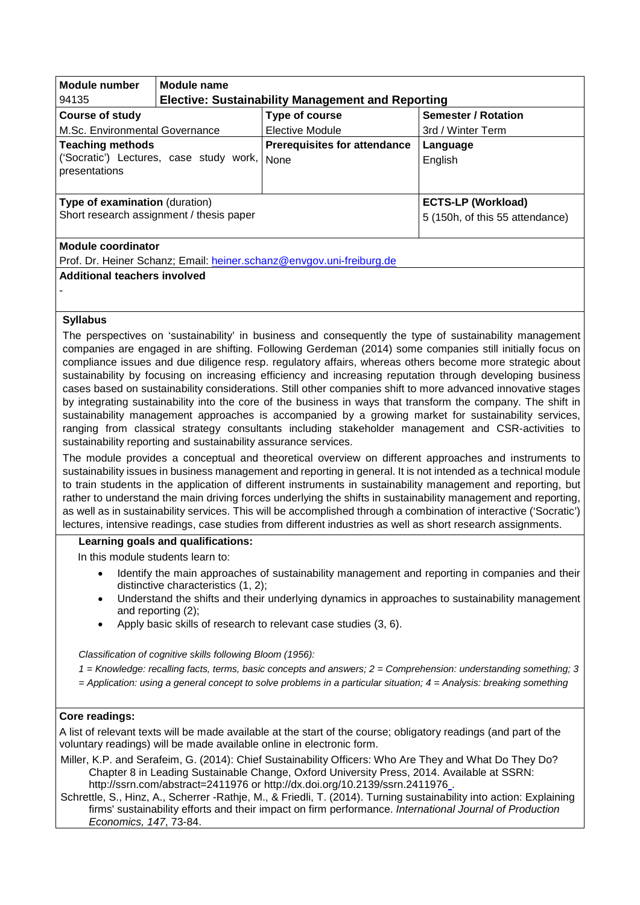| Module number                                                                              | Module name                                              |                                                              |                            |
|--------------------------------------------------------------------------------------------|----------------------------------------------------------|--------------------------------------------------------------|----------------------------|
| 94135                                                                                      | <b>Elective: Sustainability Management and Reporting</b> |                                                              |                            |
| <b>Course of study</b>                                                                     |                                                          | Type of course                                               | <b>Semester / Rotation</b> |
| M.Sc. Environmental Governance                                                             |                                                          | Elective Module                                              | 3rd / Winter Term          |
| <b>Teaching methods</b><br>('Socratic') Lectures, case study work,<br>presentations        |                                                          | <b>Prerequisites for attendance</b><br>None                  | Language<br>English        |
| <b>Type of examination (duration)</b><br>Short research assignment / thesis paper          |                                                          | <b>ECTS-LP (Workload)</b><br>5 (150h, of this 55 attendance) |                            |
| Module coordinator<br>Prof. Dr. Heiner Schanz; Email: heiner.schanz@envgov.uni-freiburg.de |                                                          |                                                              |                            |
| Additional teachers involved                                                               |                                                          |                                                              |                            |

## **Syllabus**

-

The perspectives on 'sustainability' in business and consequently the type of sustainability management companies are engaged in are shifting. Following Gerdeman (2014) some companies still initially focus on compliance issues and due diligence resp. regulatory affairs, whereas others become more strategic about sustainability by focusing on increasing efficiency and increasing reputation through developing business cases based on sustainability considerations. Still other companies shift to more advanced innovative stages by integrating sustainability into the core of the business in ways that transform the company. The shift in sustainability management approaches is accompanied by a growing market for sustainability services, ranging from classical strategy consultants including stakeholder management and CSR-activities to sustainability reporting and sustainability assurance services.

The module provides a conceptual and theoretical overview on different approaches and instruments to sustainability issues in business management and reporting in general. It is not intended as a technical module to train students in the application of different instruments in sustainability management and reporting, but rather to understand the main driving forces underlying the shifts in sustainability management and reporting, as well as in sustainability services. This will be accomplished through a combination of interactive ('Socratic') lectures, intensive readings, case studies from different industries as well as short research assignments.

## **Learning goals and qualifications:**

In this module students learn to:

- Identify the main approaches of sustainability management and reporting in companies and their distinctive characteristics (1, 2);
- Understand the shifts and their underlying dynamics in approaches to sustainability management and reporting (2);
- Apply basic skills of research to relevant case studies (3, 6).

*Classification of cognitive skills following Bloom (1956):* 

*1 = Knowledge: recalling facts, terms, basic concepts and answers; 2 = Comprehension: understanding something; 3* 

*= Application: using a general concept to solve problems in a particular situation; 4 = Analysis: breaking something*

## **Core readings:**

A list of relevant texts will be made available at the start of the course; obligatory readings (and part of the voluntary readings) will be made available online in electronic form.

Miller, K.P. and Serafeim, G. (2014): Chief Sustainability Officers: Who Are They and What Do They Do? Chapter 8 in Leading Sustainable Change, Oxford University Press, 2014. Available at SSRN: <http://ssrn.com/abstract=2411976> or<http://dx.doi.org/10.2139/ssrn.2411976> [.](http://dx.doi.org/10.2139/ssrn.2411976)

Schrettle, S., Hinz, A., Scherrer -Rathje, M., & Friedli, T. (2014). Turning sustainability into action: Explaining firms' sustainability efforts and their impact on firm performance. *International Journal of Production Economics, 147*, 73-84.